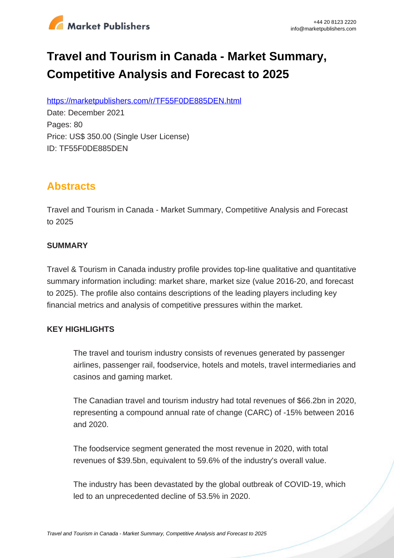

# **Travel and Tourism in Canada - Market Summary, Competitive Analysis and Forecast to 2025**

https://marketpublishers.com/r/TF55F0DE885DEN.html

Date: December 2021 Pages: 80 Price: US\$ 350.00 (Single User License) ID: TF55F0DE885DEN

### **Abstracts**

Travel and Tourism in Canada - Market Summary, Competitive Analysis and Forecast to 2025

#### **SUMMARY**

Travel & Tourism in Canada industry profile provides top-line qualitative and quantitative summary information including: market share, market size (value 2016-20, and forecast to 2025). The profile also contains descriptions of the leading players including key financial metrics and analysis of competitive pressures within the market.

#### **KEY HIGHLIGHTS**

The travel and tourism industry consists of revenues generated by passenger airlines, passenger rail, foodservice, hotels and motels, travel intermediaries and casinos and gaming market.

The Canadian travel and tourism industry had total revenues of \$66.2bn in 2020, representing a compound annual rate of change (CARC) of -15% between 2016 and 2020.

The foodservice segment generated the most revenue in 2020, with total revenues of \$39.5bn, equivalent to 59.6% of the industry's overall value.

The industry has been devastated by the global outbreak of COVID-19, which led to an unprecedented decline of 53.5% in 2020.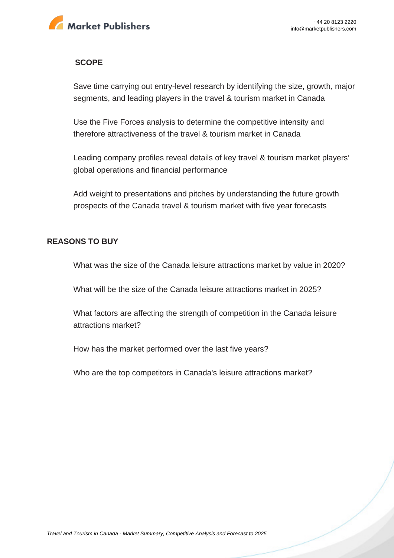

#### **SCOPE**

Save time carrying out entry-level research by identifying the size, growth, major segments, and leading players in the travel & tourism market in Canada

Use the Five Forces analysis to determine the competitive intensity and therefore attractiveness of the travel & tourism market in Canada

Leading company profiles reveal details of key travel & tourism market players' global operations and financial performance

Add weight to presentations and pitches by understanding the future growth prospects of the Canada travel & tourism market with five year forecasts

#### **REASONS TO BUY**

What was the size of the Canada leisure attractions market by value in 2020?

What will be the size of the Canada leisure attractions market in 2025?

What factors are affecting the strength of competition in the Canada leisure attractions market?

How has the market performed over the last five years?

Who are the top competitors in Canada's leisure attractions market?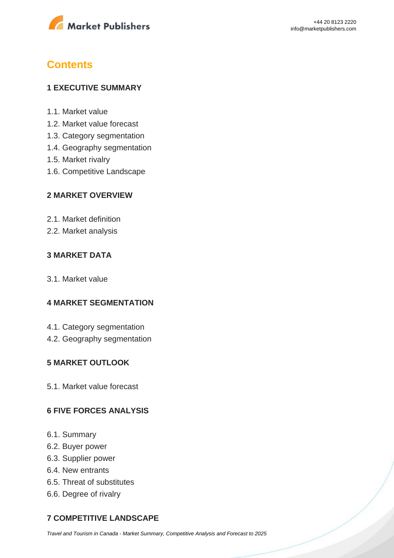

## **Contents**

#### **1 EXECUTIVE SUMMARY**

- 1.1. Market value
- 1.2. Market value forecast
- 1.3. Category segmentation
- 1.4. Geography segmentation
- 1.5. Market rivalry
- 1.6. Competitive Landscape

#### **2 MARKET OVERVIEW**

- 2.1. Market definition
- 2.2. Market analysis

#### **3 MARKET DATA**

3.1. Market value

#### **4 MARKET SEGMENTATION**

- 4.1. Category segmentation
- 4.2. Geography segmentation

#### **5 MARKET OUTLOOK**

5.1. Market value forecast

#### **6 FIVE FORCES ANALYSIS**

- 6.1. Summary
- 6.2. Buyer power
- 6.3. Supplier power
- 6.4. New entrants
- 6.5. Threat of substitutes
- 6.6. Degree of rivalry

### **7 COMPETITIVE LANDSCAPE**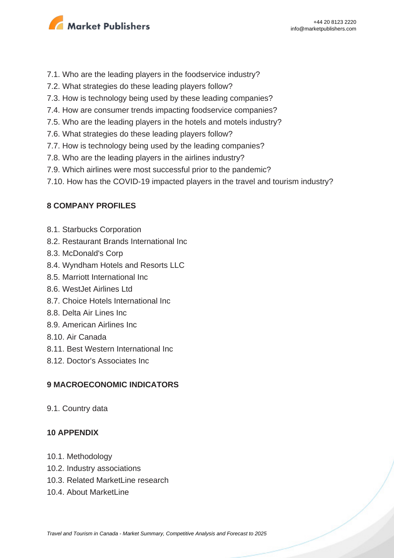

- 7.1. Who are the leading players in the foodservice industry?
- 7.2. What strategies do these leading players follow?
- 7.3. How is technology being used by these leading companies?
- 7.4. How are consumer trends impacting foodservice companies?
- 7.5. Who are the leading players in the hotels and motels industry?
- 7.6. What strategies do these leading players follow?
- 7.7. How is technology being used by the leading companies?
- 7.8. Who are the leading players in the airlines industry?
- 7.9. Which airlines were most successful prior to the pandemic?
- 7.10. How has the COVID-19 impacted players in the travel and tourism industry?

#### **8 COMPANY PROFILES**

- 8.1. Starbucks Corporation
- 8.2. Restaurant Brands International Inc
- 8.3. McDonald's Corp
- 8.4. Wyndham Hotels and Resorts LLC
- 8.5. Marriott International Inc
- 8.6. WestJet Airlines Ltd
- 8.7. Choice Hotels International Inc
- 8.8. Delta Air Lines Inc
- 8.9. American Airlines Inc
- 8.10. Air Canada
- 8.11. Best Western International Inc
- 8.12. Doctor's Associates Inc

#### **9 MACROECONOMIC INDICATORS**

9.1. Country data

#### **10 APPENDIX**

- 10.1. Methodology
- 10.2. Industry associations
- 10.3. Related MarketLine research
- 10.4. About MarketLine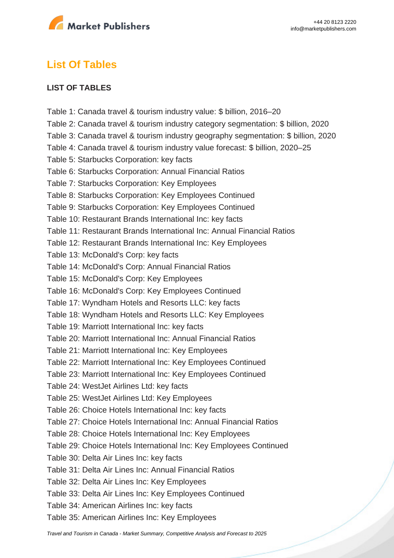

## **List Of Tables**

#### **LIST OF TABLES**

Table 1: Canada travel & tourism industry value: \$ billion, 2016–20 Table 2: Canada travel & tourism industry category segmentation: \$ billion, 2020 Table 3: Canada travel & tourism industry geography segmentation: \$ billion, 2020 Table 4: Canada travel & tourism industry value forecast: \$ billion, 2020–25 Table 5: Starbucks Corporation: key facts Table 6: Starbucks Corporation: Annual Financial Ratios Table 7: Starbucks Corporation: Key Employees Table 8: Starbucks Corporation: Key Employees Continued Table 9: Starbucks Corporation: Key Employees Continued Table 10: Restaurant Brands International Inc: key facts Table 11: Restaurant Brands International Inc: Annual Financial Ratios Table 12: Restaurant Brands International Inc: Key Employees Table 13: McDonald's Corp: key facts Table 14: McDonald's Corp: Annual Financial Ratios Table 15: McDonald's Corp: Key Employees Table 16: McDonald's Corp: Key Employees Continued Table 17: Wyndham Hotels and Resorts LLC: key facts Table 18: Wyndham Hotels and Resorts LLC: Key Employees Table 19: Marriott International Inc: key facts Table 20: Marriott International Inc: Annual Financial Ratios Table 21: Marriott International Inc: Key Employees Table 22: Marriott International Inc: Key Employees Continued Table 23: Marriott International Inc: Key Employees Continued Table 24: WestJet Airlines Ltd: key facts Table 25: WestJet Airlines Ltd: Key Employees Table 26: Choice Hotels International Inc: key facts Table 27: Choice Hotels International Inc: Annual Financial Ratios Table 28: Choice Hotels International Inc: Key Employees Table 29: Choice Hotels International Inc: Key Employees Continued Table 30: Delta Air Lines Inc: key facts Table 31: Delta Air Lines Inc: Annual Financial Ratios Table 32: Delta Air Lines Inc: Key Employees Table 33: Delta Air Lines Inc: Key Employees Continued Table 34: American Airlines Inc: key facts Table 35: American Airlines Inc: Key Employees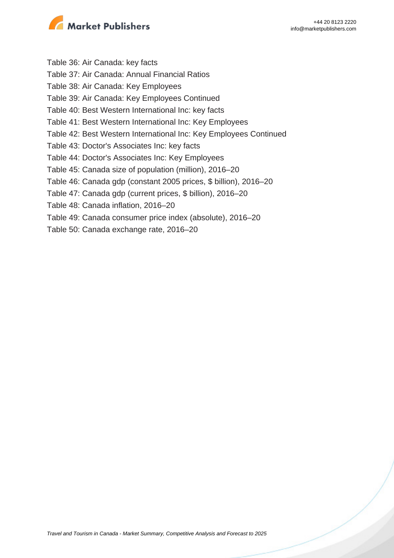

- Table 36: Air Canada: key facts
- Table 37: Air Canada: Annual Financial Ratios
- Table 38: Air Canada: Key Employees
- Table 39: Air Canada: Key Employees Continued
- Table 40: Best Western International Inc: key facts
- Table 41: Best Western International Inc: Key Employees
- Table 42: Best Western International Inc: Key Employees Continued
- Table 43: Doctor's Associates Inc: key facts
- Table 44: Doctor's Associates Inc: Key Employees
- Table 45: Canada size of population (million), 2016–20
- Table 46: Canada gdp (constant 2005 prices, \$ billion), 2016–20
- Table 47: Canada gdp (current prices, \$ billion), 2016–20
- Table 48: Canada inflation, 2016–20
- Table 49: Canada consumer price index (absolute), 2016–20
- Table 50: Canada exchange rate, 2016–20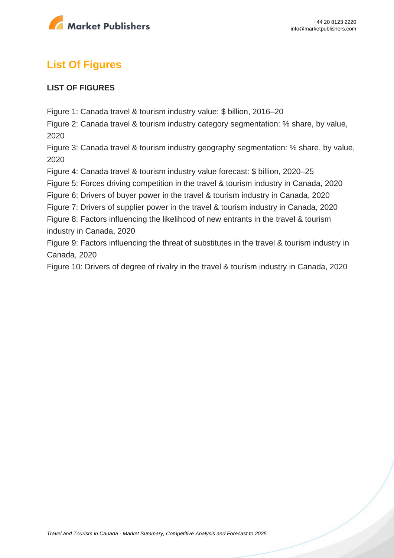

# **List Of Figures**

#### **LIST OF FIGURES**

Figure 1: Canada travel & tourism industry value: \$ billion, 2016–20

Figure 2: Canada travel & tourism industry category segmentation: % share, by value, 2020

Figure 3: Canada travel & tourism industry geography segmentation: % share, by value, 2020

Figure 4: Canada travel & tourism industry value forecast: \$ billion, 2020–25

Figure 5: Forces driving competition in the travel & tourism industry in Canada, 2020

Figure 6: Drivers of buyer power in the travel & tourism industry in Canada, 2020

Figure 7: Drivers of supplier power in the travel & tourism industry in Canada, 2020

Figure 8: Factors influencing the likelihood of new entrants in the travel & tourism industry in Canada, 2020

Figure 9: Factors influencing the threat of substitutes in the travel & tourism industry in Canada, 2020

Figure 10: Drivers of degree of rivalry in the travel & tourism industry in Canada, 2020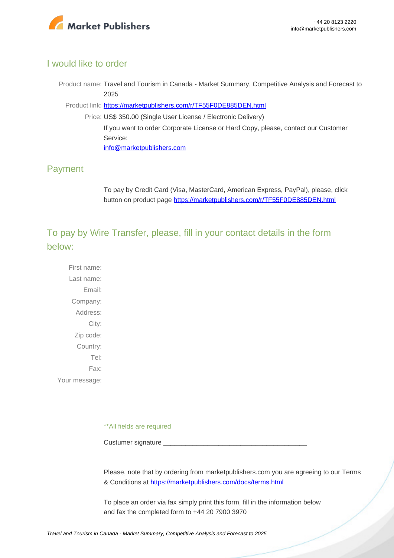

#### I would like to order

Product name: Travel and Tourism in Canada - Market Summary, Competitive Analysis and Forecast to 2025

Product link: [https://marketpublishers.com/r/TF55F0DE885DEN.html](https://marketpublishers.com/report/services/travel-leisure/travel-n-tourism-in-canada-market-summary-competitive-analysis-n-forecast-to-2025.html)

Price: US\$ 350.00 (Single User License / Electronic Delivery) If you want to order Corporate License or Hard Copy, please, contact our Customer Service: [info@marketpublishers.com](mailto:info@marketpublishers.com)

### Payment

To pay by Credit Card (Visa, MasterCard, American Express, PayPal), please, click button on product page [https://marketpublishers.com/r/TF55F0DE885DEN.html](https://marketpublishers.com/report/services/travel-leisure/travel-n-tourism-in-canada-market-summary-competitive-analysis-n-forecast-to-2025.html)

To pay by Wire Transfer, please, fill in your contact details in the form below:

First name: Last name: Email: Company: Address: City: Zip code: Country: Tel: Fax: Your message:

\*\*All fields are required

Custumer signature

Please, note that by ordering from marketpublishers.com you are agreeing to our Terms & Conditions at<https://marketpublishers.com/docs/terms.html>

To place an order via fax simply print this form, fill in the information below and fax the completed form to +44 20 7900 3970